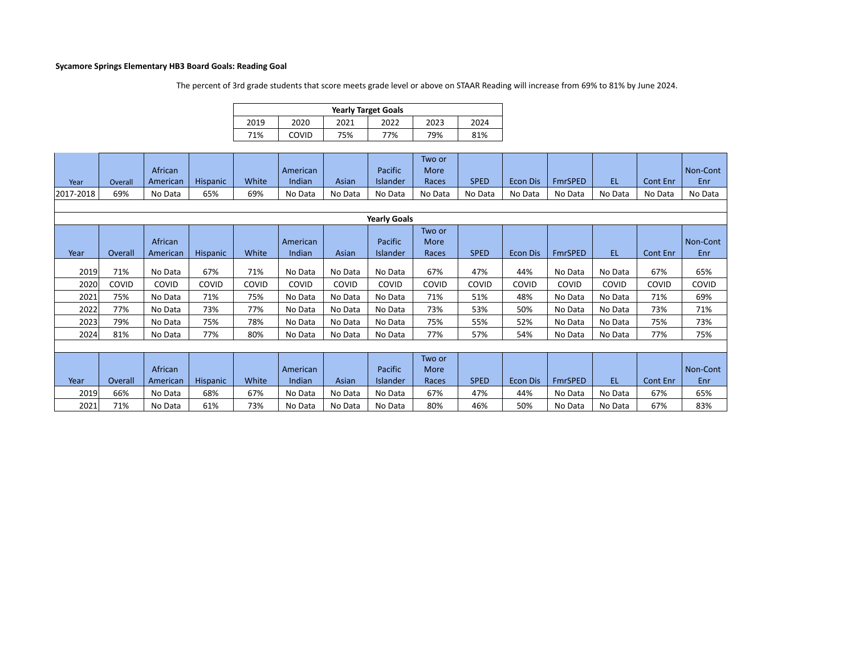## **Sycamore Springs Elementary HB3 Board Goals: Reading Goal**

The percent of 3rd grade students that score meets grade level or above on STAAR Reading will increase from 69% to 81% by June 2024.

| <b>Yearly Target Goals</b> |       |      |      |      |      |  |  |  |  |  |  |  |
|----------------------------|-------|------|------|------|------|--|--|--|--|--|--|--|
| 2019                       | 2020  | 2021 | 2022 | 2023 | 2024 |  |  |  |  |  |  |  |
| 71%                        | COVID | 75%  | 77%  | 79%  | 81%  |  |  |  |  |  |  |  |

|           |         |          |          |       |          |         |                 | Two or  |             |                 |                |           |                 |          |
|-----------|---------|----------|----------|-------|----------|---------|-----------------|---------|-------------|-----------------|----------------|-----------|-----------------|----------|
|           |         | African  |          |       | American |         | Pacific         | More    |             |                 |                |           |                 | Non-Cont |
| Year      | Overall | American | Hispanic | White | Indian   | Asian   | <b>Islander</b> | Races   | <b>SPED</b> | <b>Econ Dis</b> | <b>FmrSPED</b> | <b>EL</b> | <b>Cont Enr</b> | Enr      |
| 2017-2018 | 69%     | No Data  | 65%      | 69%   | No Data  | No Data | No Data         | No Data | No Data     | No Data         | No Data        | No Data   | No Data         | No Data  |

|      | <b>Yearly Goals</b> |          |                 |       |          |         |          |             |             |                 |                |         |          |          |
|------|---------------------|----------|-----------------|-------|----------|---------|----------|-------------|-------------|-----------------|----------------|---------|----------|----------|
|      |                     |          |                 |       |          |         |          | Two or      |             |                 |                |         |          |          |
|      |                     | African  |                 |       | American |         | Pacific  | <b>More</b> |             |                 |                |         |          | Non-Cont |
| Year | Overall             | American | <b>Hispanic</b> | White | Indian   | Asian   | Islander | Races       | <b>SPED</b> | <b>Econ Dis</b> | <b>FmrSPED</b> | EL.     | Cont Enr | Enr      |
| 2019 | 71%                 | No Data  | 67%             | 71%   | No Data  | No Data | No Data  | 67%         | 47%         | 44%             | No Data        | No Data | 67%      | 65%      |
| 2020 | COVID               | COVID    | COVID           | COVID | COVID    | COVID   | COVID    | COVID       | COVID       | COVID           | COVID          | COVID   | COVID    | COVID    |
| 2021 | 75%                 | No Data  | 71%             | 75%   | No Data  | No Data | No Data  | 71%         | 51%         | 48%             | No Data        | No Data | 71%      | 69%      |
| 2022 | 77%                 | No Data  | 73%             | 77%   | No Data  | No Data | No Data  | 73%         | 53%         | 50%             | No Data        | No Data | 73%      | 71%      |
| 2023 | 79%                 | No Data  | 75%             | 78%   | No Data  | No Data | No Data  | 75%         | 55%         | 52%             | No Data        | No Data | 75%      | 73%      |
| 2024 | 81%                 | No Data  | 77%             | 80%   | No Data  | No Data | No Data  | 77%         | 57%         | 54%             | No Data        | No Data | 77%      | 75%      |
|      |                     |          |                 |       |          |         |          |             |             |                 |                |         |          |          |
|      |                     |          |                 |       |          |         |          | Two or      |             |                 |                |         |          |          |
|      |                     | African  |                 |       | American |         | Pacific  | <b>More</b> |             |                 |                |         |          | Non-Cont |
| Year | Overall             | American | <b>Hispanic</b> | White | Indian   | Asian   | Islander | Races       | <b>SPED</b> | <b>Econ Dis</b> | <b>FmrSPED</b> | EL.     | Cont Enr | Enr      |
| 2019 | 66%                 | No Data  | 68%             | 67%   | No Data  | No Data | No Data  | 67%         | 47%         | 44%             | No Data        | No Data | 67%      | 65%      |
| 2021 | 71%                 | No Data  | 61%             | 73%   | No Data  | No Data | No Data  | 80%         | 46%         | 50%             | No Data        | No Data | 67%      | 83%      |